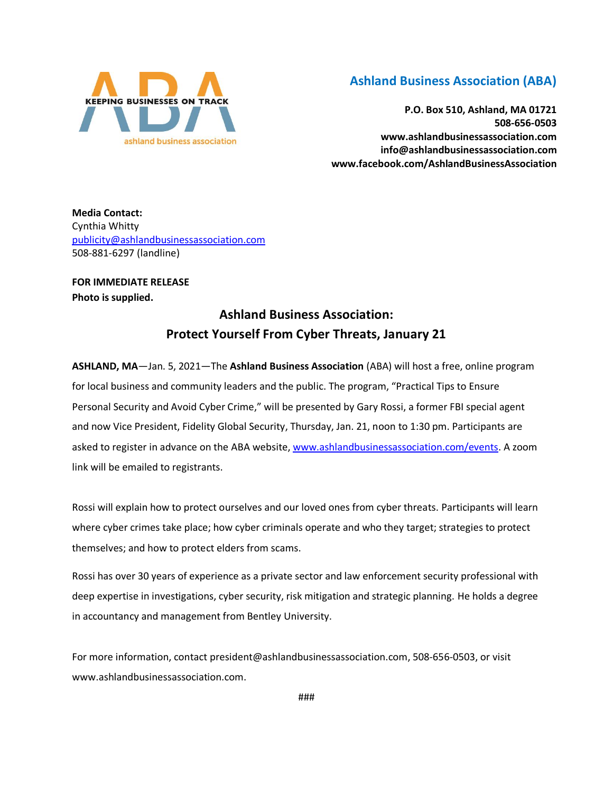

## **Ashland Business Association (ABA)**

**P.O. Box 510, Ashland, MA 01721 508-656-0503 www.ashlandbusinessassociation.com info@ashlandbusinessassociation.com www.facebook.com/AshlandBusinessAssociation**

**Media Contact:** Cynthia Whitty [publicity@ashlandbusinessassociation.com](mailto:publicity@ashlandbusinessassociation.com) 508-881-6297 (landline)

**FOR IMMEDIATE RELEASE Photo is supplied.**

## **Ashland Business Association: Protect Yourself From Cyber Threats, January 21**

**ASHLAND, MA**—Jan. 5, 2021—The **Ashland Business Association** (ABA) will host a free, online program for local business and community leaders and the public. The program, "Practical Tips to Ensure Personal Security and Avoid Cyber Crime," will be presented by Gary Rossi, a former FBI special agent and now Vice President, Fidelity Global Security, Thursday, Jan. 21, noon to 1:30 pm. Participants are asked to register in advance on the ABA website[, www.ashlandbusinessassociation.com/events.](http://www.ashlandbusinessassociation.com/events) A zoom link will be emailed to registrants.

Rossi will explain how to protect ourselves and our loved ones from cyber threats. Participants will learn where cyber crimes take place; how cyber criminals operate and who they target; strategies to protect themselves; and how to protect elders from scams.

Rossi has over 30 years of experience as a private sector and law enforcement security professional with deep expertise in investigations, cyber security, risk mitigation and strategic planning. He holds a degree in accountancy and management from Bentley University.

For more information, contact president@ashlandbusinessassociation.com, 508-656-0503, or visit www.ashlandbusinessassociation.com.